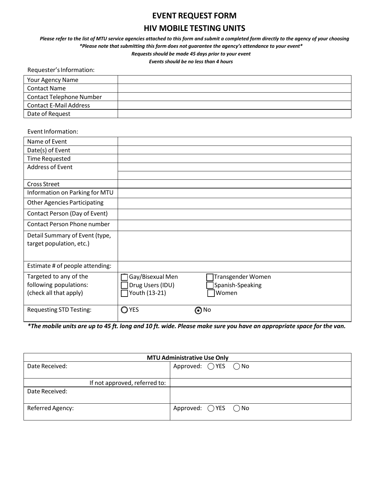## **EVENT REQUEST FORM**

## **HIV MOBILE TESTING UNITS**

*Please refer to the list of MTU service agencies attached to this form and submit a completed form directly to the agency of your choosing \*Please note that submitting this form does not guarantee the agency's attendance to your event\** 

*Requests should be made 45 days prior to your event*

*Events should be no less than 4 hours*

| Requester's Information:        |  |
|---------------------------------|--|
| Your Agency Name                |  |
| <b>Contact Name</b>             |  |
| <b>Contact Telephone Number</b> |  |
| <b>Contact E-Mail Address</b>   |  |
| Date of Request                 |  |

Event Information:

| Name of Event                       |                  |                   |
|-------------------------------------|------------------|-------------------|
| Date(s) of Event                    |                  |                   |
| <b>Time Requested</b>               |                  |                   |
| <b>Address of Event</b>             |                  |                   |
|                                     |                  |                   |
| <b>Cross Street</b>                 |                  |                   |
| Information on Parking for MTU      |                  |                   |
| <b>Other Agencies Participating</b> |                  |                   |
| Contact Person (Day of Event)       |                  |                   |
| Contact Person Phone number         |                  |                   |
| Detail Summary of Event (type,      |                  |                   |
| target population, etc.)            |                  |                   |
|                                     |                  |                   |
| Estimate # of people attending:     |                  |                   |
| Targeted to any of the              | Gay/Bisexual Men | Transgender Women |
| following populations:              | Drug Users (IDU) | Spanish-Speaking  |
| (check all that apply)              | Youth (13-21)    | Women             |
| <b>Requesting STD Testing:</b>      | OYES             | ⊚™                |

*\*The mobile units are up to 45 ft. long and 10 ft. wide. Please make sure you have an appropriate space for the van.*

| <b>MTU Administrative Use Only</b> |                                        |  |  |
|------------------------------------|----------------------------------------|--|--|
| Date Received:                     | Approved: $\bigcirc$ YES $\bigcirc$ No |  |  |
|                                    |                                        |  |  |
| If not approved, referred to:      |                                        |  |  |
| Date Received:                     |                                        |  |  |
|                                    |                                        |  |  |
| Referred Agency:                   | Approved: $\bigcirc$ YES $\bigcirc$ No |  |  |
|                                    |                                        |  |  |